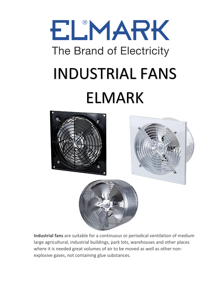# ELMARK The Brand of Electricity INDUSTRIAL FANS ELMARK



**Industrial fans** are suitable for a continuous or periodical ventilation of medium large agricultural, industrial buildings, park lots, warehouses and other places where it is needed great volumes of air to be moved as well as other nonexplosive gases, not containing glue substances.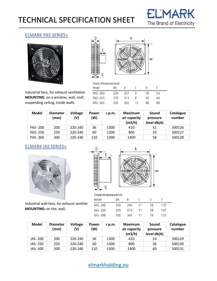## TECHNICAL SPECIFICATION SHEET



 $\sim$ 

#### ELMARK PAS SERIES»





Industrial fans, for exhaust ventilation **MOUNTING**: on a window, wall, roof, suspending ceiling, inside walls.

|         | Overal dimensions (mm) |     |    |    |    |  |  |  |
|---------|------------------------|-----|----|----|----|--|--|--|
| Model   | ØΑ                     | R   |    | D  |    |  |  |  |
| PAS-200 | 220                    | 257 | ₹  | 70 | 53 |  |  |  |
| PAS-250 | 270                    | 313 | я  | 70 | 60 |  |  |  |
| PAS-300 | 320                    | 350 | 10 | 86 | 80 |  |  |  |

| <b>Model</b>   | <b>Diameter</b><br>(mm) | <b>Voltage</b><br>(V) | <b>Power</b><br>(W) | r.p.m. | <b>Maximum</b><br>air capacity<br>(m3/h) | Sound<br>pressure<br>level db(A) | Catalogue<br>number |
|----------------|-------------------------|-----------------------|---------------------|--------|------------------------------------------|----------------------------------|---------------------|
| <b>PAS-200</b> | 200                     | 220-240               | 36                  | 1300   | 410                                      | 51                               | 500126              |
| <b>PAS-250</b> | 250                     | 220-240               | 60                  | 1300   | 800                                      | 53                               | 500127              |
| PAS-300        | 300                     | 220-240               | 110                 | 1300   | 1400                                     | 58                               | 500128              |

D

 $\frac{1}{4}$ 

#### ELMARK IAS SERIES»



Industrial wall fans, for exhaust ventilat **MOUNTING:** on the, wall.





| <b>Model</b> | <b>Diameter</b><br>(mm) | <b>Voltage</b><br>(V) | <b>Power</b><br>(W) | r.p.m. | Maximum<br>air capacity<br>(m3/h) | Sound<br>pressure<br>level db(A) | Catalogue<br>number |
|--------------|-------------------------|-----------------------|---------------------|--------|-----------------------------------|----------------------------------|---------------------|
| IAS-200      | 200                     | 220-240               | 36                  | 1300   | 410                               | 53                               | 500129              |
| IAS-250      | 250                     | 220-240               | 60                  | 1300   | 800                               | 56                               | 500130              |
| IAS-300      | 300                     | 220-240               | 110                 | 1300   | 1400                              | 60                               | 500131              |

[elmarkholding.eu](http://elmarkholding.eu/)